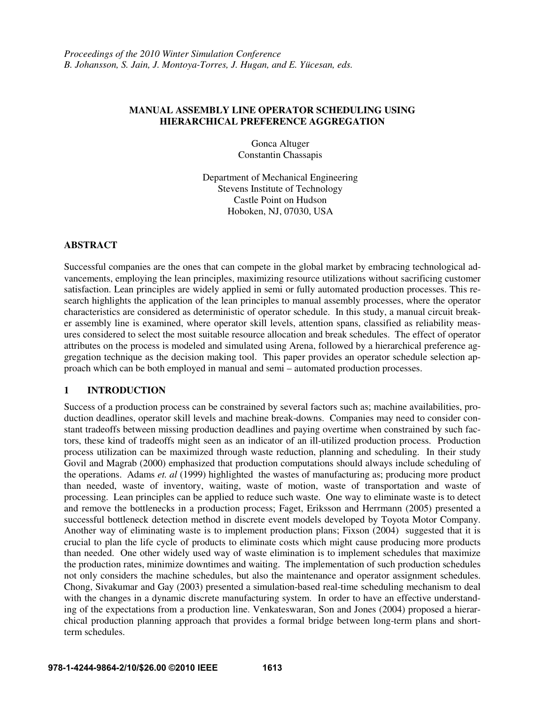# **MANUAL ASSEMBLY LINE OPERATOR SCHEDULING USING HIERARCHICAL PREFERENCE AGGREGATION**

Gonca Altuger Constantin Chassapis

Department of Mechanical Engineering Stevens Institute of Technology Castle Point on Hudson Hoboken, NJ, 07030, USA

# **ABSTRACT**

Successful companies are the ones that can compete in the global market by embracing technological advancements, employing the lean principles, maximizing resource utilizations without sacrificing customer satisfaction. Lean principles are widely applied in semi or fully automated production processes. This research highlights the application of the lean principles to manual assembly processes, where the operator characteristics are considered as deterministic of operator schedule. In this study, a manual circuit breaker assembly line is examined, where operator skill levels, attention spans, classified as reliability measures considered to select the most suitable resource allocation and break schedules. The effect of operator attributes on the process is modeled and simulated using Arena, followed by a hierarchical preference aggregation technique as the decision making tool. This paper provides an operator schedule selection approach which can be both employed in manual and semi – automated production processes.

#### **1 INTRODUCTION**

Success of a production process can be constrained by several factors such as; machine availabilities, production deadlines, operator skill levels and machine break-downs. Companies may need to consider constant tradeoffs between missing production deadlines and paying overtime when constrained by such factors, these kind of tradeoffs might seen as an indicator of an ill-utilized production process. Production process utilization can be maximized through waste reduction, planning and scheduling. In their study Govil and Magrab (2000) emphasized that production computations should always include scheduling of the operations. Adams *et. al* (1999) highlighted the wastes of manufacturing as; producing more product than needed, waste of inventory, waiting, waste of motion, waste of transportation and waste of processing. Lean principles can be applied to reduce such waste. One way to eliminate waste is to detect and remove the bottlenecks in a production process; Faget, Eriksson and Herrmann (2005) presented a successful bottleneck detection method in discrete event models developed by Toyota Motor Company. Another way of eliminating waste is to implement production plans; Fixson (2004) suggested that it is crucial to plan the life cycle of products to eliminate costs which might cause producing more products than needed. One other widely used way of waste elimination is to implement schedules that maximize the production rates, minimize downtimes and waiting. The implementation of such production schedules not only considers the machine schedules, but also the maintenance and operator assignment schedules. Chong, Sivakumar and Gay (2003) presented a simulation-based real-time scheduling mechanism to deal with the changes in a dynamic discrete manufacturing system. In order to have an effective understanding of the expectations from a production line. Venkateswaran, Son and Jones (2004) proposed a hierarchical production planning approach that provides a formal bridge between long-term plans and shortterm schedules.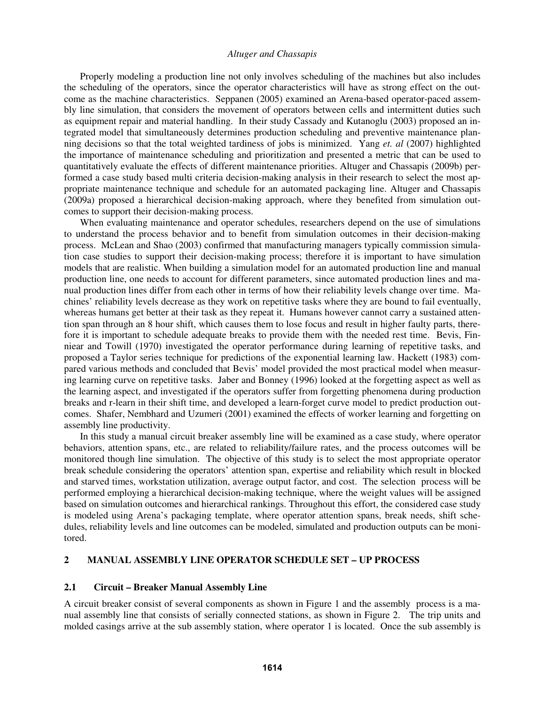Properly modeling a production line not only involves scheduling of the machines but also includes the scheduling of the operators, since the operator characteristics will have as strong effect on the outcome as the machine characteristics. Seppanen (2005) examined an Arena-based operator-paced assembly line simulation, that considers the movement of operators between cells and intermittent duties such as equipment repair and material handling. In their study Cassady and Kutanoglu (2003) proposed an integrated model that simultaneously determines production scheduling and preventive maintenance planning decisions so that the total weighted tardiness of jobs is minimized. Yang *et. al* (2007) highlighted the importance of maintenance scheduling and prioritization and presented a metric that can be used to quantitatively evaluate the effects of different maintenance priorities. Altuger and Chassapis (2009b) performed a case study based multi criteria decision-making analysis in their research to select the most appropriate maintenance technique and schedule for an automated packaging line. Altuger and Chassapis (2009a) proposed a hierarchical decision-making approach, where they benefited from simulation outcomes to support their decision-making process.

 When evaluating maintenance and operator schedules, researchers depend on the use of simulations to understand the process behavior and to benefit from simulation outcomes in their decision-making process. McLean and Shao (2003) confirmed that manufacturing managers typically commission simulation case studies to support their decision-making process; therefore it is important to have simulation models that are realistic. When building a simulation model for an automated production line and manual production line, one needs to account for different parameters, since automated production lines and manual production lines differ from each other in terms of how their reliability levels change over time. Machines' reliability levels decrease as they work on repetitive tasks where they are bound to fail eventually, whereas humans get better at their task as they repeat it. Humans however cannot carry a sustained attention span through an 8 hour shift, which causes them to lose focus and result in higher faulty parts, therefore it is important to schedule adequate breaks to provide them with the needed rest time. Bevis, Finniear and Towill (1970) investigated the operator performance during learning of repetitive tasks, and proposed a Taylor series technique for predictions of the exponential learning law. Hackett (1983) compared various methods and concluded that Bevis' model provided the most practical model when measuring learning curve on repetitive tasks. Jaber and Bonney (1996) looked at the forgetting aspect as well as the learning aspect, and investigated if the operators suffer from forgetting phenomena during production breaks and r-learn in their shift time, and developed a learn-forget curve model to predict production outcomes. Shafer, Nembhard and Uzumeri (2001) examined the effects of worker learning and forgetting on assembly line productivity.

 In this study a manual circuit breaker assembly line will be examined as a case study, where operator behaviors, attention spans, etc., are related to reliability/failure rates, and the process outcomes will be monitored though line simulation. The objective of this study is to select the most appropriate operator break schedule considering the operators' attention span, expertise and reliability which result in blocked and starved times, workstation utilization, average output factor, and cost. The selection process will be performed employing a hierarchical decision-making technique, where the weight values will be assigned based on simulation outcomes and hierarchical rankings. Throughout this effort, the considered case study is modeled using Arena's packaging template, where operator attention spans, break needs, shift schedules, reliability levels and line outcomes can be modeled, simulated and production outputs can be monitored.

### **2 MANUAL ASSEMBLY LINE OPERATOR SCHEDULE SET – UP PROCESS**

#### **2.1 Circuit – Breaker Manual Assembly Line**

A circuit breaker consist of several components as shown in Figure 1 and the assembly process is a manual assembly line that consists of serially connected stations, as shown in Figure 2. The trip units and molded casings arrive at the sub assembly station, where operator 1 is located. Once the sub assembly is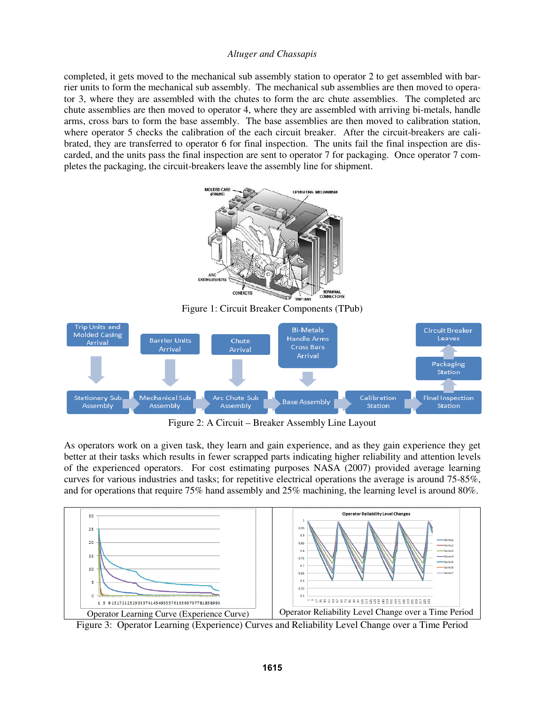completed, it gets moved to the mechanical sub assembly station to operator 2 to get assembled with barrier units to form the mechanical sub assembly. The mechanical sub assemblies are then moved to operator 3, where they are assembled with the chutes to form the arc chute assemblies. The completed arc chute assemblies are then moved to operator 4, where they are assembled with arriving bi-metals, handle arms, cross bars to form the base assembly. The base assemblies are then moved to calibration station, where operator 5 checks the calibration of the each circuit breaker. After the circuit-breakers are calibrated, they are transferred to operator 6 for final inspection. The units fail the final inspection are discarded, and the units pass the final inspection are sent to operator 7 for packaging. Once operator 7 completes the packaging, the circuit-breakers leave the assembly line for shipment.



Figure 2: A Circuit – Breaker Assembly Line Layout

As operators work on a given task, they learn and gain experience, and as they gain experience they get better at their tasks which results in fewer scrapped parts indicating higher reliability and attention levels of the experienced operators. For cost estimating purposes NASA (2007) provided average learning curves for various industries and tasks; for repetitive electrical operations the average is around 75-85%, and for operations that require 75% hand assembly and 25% machining, the learning level is around 80%.



Figure 3: Operator Learning (Experience) Curves and Reliability Level Change over a Time Period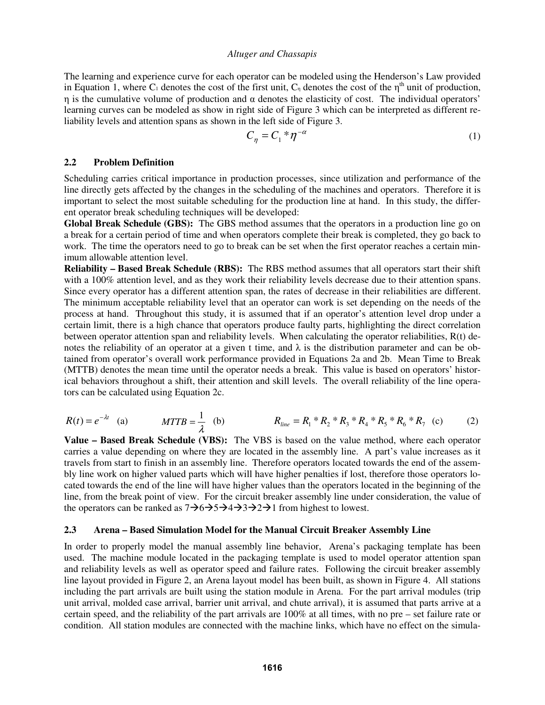The learning and experience curve for each operator can be modeled using the Henderson's Law provided in Equation 1, where C<sub>1</sub> denotes the cost of the first unit, C<sub>n</sub> denotes the cost of the  $\eta^{th}$  unit of production, η is the cumulative volume of production and α denotes the elasticity of cost. The individual operators' learning curves can be modeled as show in right side of Figure 3 which can be interpreted as different reliability levels and attention spans as shown in the left side of Figure 3.

$$
C_{\eta} = C_1 \cdot \eta^{-\alpha} \tag{1}
$$

### **2.2 Problem Definition**

Scheduling carries critical importance in production processes, since utilization and performance of the line directly gets affected by the changes in the scheduling of the machines and operators. Therefore it is important to select the most suitable scheduling for the production line at hand. In this study, the different operator break scheduling techniques will be developed:

**Global Break Schedule (GBS):** The GBS method assumes that the operators in a production line go on a break for a certain period of time and when operators complete their break is completed, they go back to work. The time the operators need to go to break can be set when the first operator reaches a certain minimum allowable attention level.

**Reliability – Based Break Schedule (RBS):** The RBS method assumes that all operators start their shift with a 100% attention level, and as they work their reliability levels decrease due to their attention spans. Since every operator has a different attention span, the rates of decrease in their reliabilities are different. The minimum acceptable reliability level that an operator can work is set depending on the needs of the process at hand. Throughout this study, it is assumed that if an operator's attention level drop under a certain limit, there is a high chance that operators produce faulty parts, highlighting the direct correlation between operator attention span and reliability levels. When calculating the operator reliabilities, R(t) denotes the reliability of an operator at a given t time, and  $\lambda$  is the distribution parameter and can be obtained from operator's overall work performance provided in Equations 2a and 2b. Mean Time to Break (MTTB) denotes the mean time until the operator needs a break. This value is based on operators' historical behaviors throughout a shift, their attention and skill levels. The overall reliability of the line operators can be calculated using Equation 2c.

$$
R(t) = e^{-\lambda t} \quad \text{(a)} \quad MTTB = \frac{1}{\lambda} \quad \text{(b)} \quad R_{\text{line}} = R_1 * R_2 * R_3 * R_4 * R_5 * R_6 * R_7 \quad \text{(c)} \quad (2)
$$

**Value – Based Break Schedule (VBS):** The VBS is based on the value method, where each operator carries a value depending on where they are located in the assembly line. A part's value increases as it travels from start to finish in an assembly line. Therefore operators located towards the end of the assembly line work on higher valued parts which will have higher penalties if lost, therefore those operators located towards the end of the line will have higher values than the operators located in the beginning of the line, from the break point of view. For the circuit breaker assembly line under consideration, the value of the operators can be ranked as  $7\rightarrow 6\rightarrow 5\rightarrow 4\rightarrow 3\rightarrow 2\rightarrow 1$  from highest to lowest.

### **2.3 Arena – Based Simulation Model for the Manual Circuit Breaker Assembly Line**

In order to properly model the manual assembly line behavior, Arena's packaging template has been used. The machine module located in the packaging template is used to model operator attention span and reliability levels as well as operator speed and failure rates. Following the circuit breaker assembly line layout provided in Figure 2, an Arena layout model has been built, as shown in Figure 4. All stations including the part arrivals are built using the station module in Arena. For the part arrival modules (trip unit arrival, molded case arrival, barrier unit arrival, and chute arrival), it is assumed that parts arrive at a certain speed, and the reliability of the part arrivals are 100% at all times, with no pre – set failure rate or condition. All station modules are connected with the machine links, which have no effect on the simula-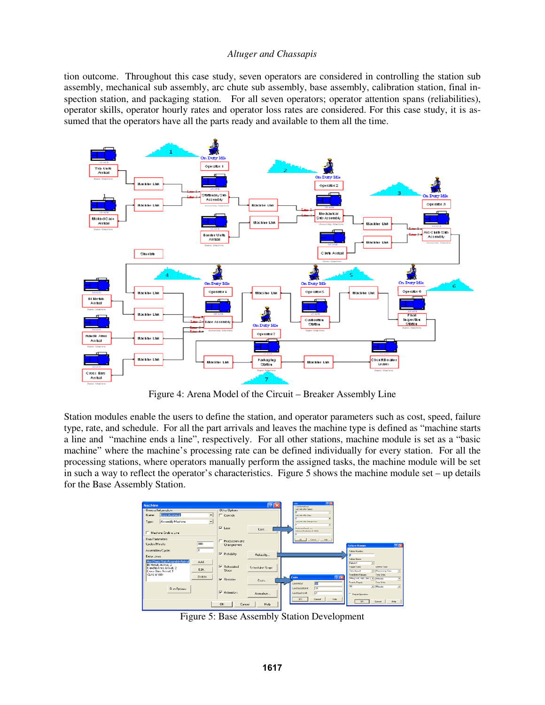tion outcome. Throughout this case study, seven operators are considered in controlling the station sub assembly, mechanical sub assembly, arc chute sub assembly, base assembly, calibration station, final inspection station, and packaging station. For all seven operators; operator attention spans (reliabilities), operator skills, operator hourly rates and operator loss rates are considered. For this case study, it is assumed that the operators have all the parts ready and available to them all the time.



Figure 4: Arena Model of the Circuit – Breaker Assembly Line

Station modules enable the users to define the station, and operator parameters such as cost, speed, failure type, rate, and schedule. For all the part arrivals and leaves the machine type is defined as "machine starts a line and "machine ends a line", respectively. For all other stations, machine module is set as a "basic machine" where the machine's processing rate can be defined individually for every station. For all the processing stations, where operators manually perform the assigned tasks, the machine module will be set in such a way to reflect the operator's characteristics. Figure 5 shows the machine module set – up details for the Base Assembly Station.

| <b>Machine</b><br>General Information<br>$\overline{\phantom{a}}$<br>Base Assembly<br>Name<br>Assembly Machine<br>⊻<br>Туре:                                 | <b>Other Dollons</b><br>Controls | $ 2 $ ४           | <b>PR</b><br><b>Lenta</b><br><b>Chert Based Loss</b><br>Lost Units after Failures:<br>Ξ<br>Lost Units after Strate<br>6<br>Ξ<br>Lost Units after Champenson's<br>$\sim$                        |
|--------------------------------------------------------------------------------------------------------------------------------------------------------------|----------------------------------|-------------------|------------------------------------------------------------------------------------------------------------------------------------------------------------------------------------------------|
| Machine Ends a Line                                                                                                                                          | $\overline{v}$ Loss              | Loss              | <b><i><u>Industrial meticals</u></i></b><br>Industrial Production (5.1003)                                                                                                                     |
| Run Parameters<br>100<br>Cycle:/Mirute:                                                                                                                      | Production and<br>Changeovers    |                   | Canvel Hotel<br>$\alpha$<br>R<br>Failure Stream                                                                                                                                                |
| Assemblies/Eycle:<br>Entry Lines:                                                                                                                            | <b>▽ Reliability</b>             | Reliability,      | Failure Number<br><b>Failure News</b>                                                                                                                                                          |
| Are Chute Sub Assembly Arrival<br>Add.<br>Bi Metals Arrival, 2<br>Handle Arms Arrival, 2<br>Edit.<br>Cross Bars Arrival, 1<br>dFnd of Isb.<br><b>D</b> cicte | E. Scheduled<br>Stops.           | Scheduled Stops   | Eakon 1<br>Uptime Type:<br><b>Trioger Type:</b><br>- Processing Time<br>Ξ<br>Telephone I<br>Time Ratur Fair ser<br>Time Units:                                                                 |
|                                                                                                                                                              | $\triangledown$ Statistics       | Costs.            | 7x<br>Costs<br>1914 145, 160, 200   v   Minutes<br>Ξ<br>Time Links:<br>Time to French<br>図<br>Cost/Hour<br>$=$ Minutes<br>$\overline{\phantom{a}}$<br>10<br>l <sub>18</sub><br>Cost/Good Unit: |
| Run Uptions                                                                                                                                                  | V Arimation<br>0K<br>Cancel      | Animation<br>Heb- | $\overline{21}$<br>Cost/Lost Unit<br><b>Repair Operators</b><br>0 <sub>k</sub><br>Holb<br>Cancel<br>Cancel<br>Help<br><b>DK</b>                                                                |

Figure 5: Base Assembly Station Development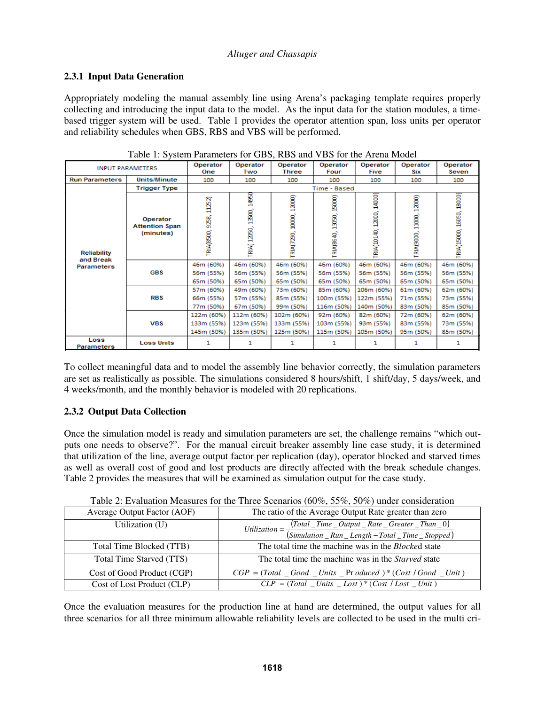# **2.3.1 Input Data Generation**

Appropriately modeling the manual assembly line using Arena's packaging template requires properly collecting and introducing the input data to the model. As the input data for the station modules, a timebased trigger system will be used. Table 1 provides the operator attention span, loss units per operator and reliability schedules when GBS, RBS and VBS will be performed.

| <b>INPUT PARAMETERS</b>   | Operator<br>One                                | Operator<br>Two                        | Operator<br><b>Three</b>               | Operator<br>Four                       | Operator<br>Five                      | Operator<br>Six                        | Operator<br>Seven                     |                                     |  |  |  |  |  |  |
|---------------------------|------------------------------------------------|----------------------------------------|----------------------------------------|----------------------------------------|---------------------------------------|----------------------------------------|---------------------------------------|-------------------------------------|--|--|--|--|--|--|
| <b>Run Parameters</b>     | <b>Units/Minute</b>                            | 100                                    | 100                                    | 100                                    | 100                                   | 100                                    | 100                                   | 100                                 |  |  |  |  |  |  |
|                           | Trigger Type                                   | Time - Based                           |                                        |                                        |                                       |                                        |                                       |                                     |  |  |  |  |  |  |
| Reliability<br>and Break  | Operator<br><b>Attention Span</b><br>(minutes) | 11252)<br>9258,<br><b>TRIA(8500,</b>   | 14950<br>13500,<br><b>TRIA(12050)</b>  | 12000)<br>[RIA(7290, 10000)            | 15000)<br>13050,<br>TRIA(8640,        | [RIA(10140, 12000, 14000)              | 12000)<br>11000,<br><b>FRIA(9000)</b> | TRIA(15000, 16050, 18000)           |  |  |  |  |  |  |
| <b>Parameters</b>         | <b>GBS</b>                                     | 46m (60%)<br>56m (55%)<br>65m (50%)    | 46m (60%)<br>56m (55%)<br>65m (50%)    | 46m (60%)<br>56m (55%)<br>65m (50%)    | 46m (60%)<br>56m (55%)<br>65m (50%)   | 46m (60%)<br>56m (55%)<br>65m (50%)    | 46m (60%)<br>56m (55%)<br>65m (50%)   | 46m (60%)<br>56m (55%)<br>65m (50%) |  |  |  |  |  |  |
|                           | <b>RBS</b>                                     | 57m (60%)<br>66m (55%)<br>77m (50%)    | 49m (60%)<br>57m (55%)<br>67m (50%)    | 73m (60%)<br>85m (55%)<br>99m (50%)    | 85m (60%)<br>100m (55%)<br>116m (50%) | 106m (60%)<br>122m (55%)<br>140m (50%) | 61m (60%)<br>71m (55%)<br>83m (50%)   | 62m (60%)<br>73m (55%)<br>85m (50%) |  |  |  |  |  |  |
|                           | <b>VBS</b>                                     | 122m (60%)<br>133m (55%)<br>145m (50%) | 112m (60%)<br>123m (55%)<br>135m (50%) | 102m (60%)<br>133m (55%)<br>125m (50%) | 92m (60%)<br>103m (55%)<br>115m (50%) | 82m (60%)<br>93m (55%)<br>105m (50%)   | 72m (60%)<br>83m (55%)<br>95m (50%)   | 62m (60%)<br>73m (55%)<br>85m (50%) |  |  |  |  |  |  |
| Loss<br><b>Parameters</b> | <b>Loss Units</b>                              | 1                                      | 1                                      | 1                                      | 1                                     | 1                                      | 1                                     | 1                                   |  |  |  |  |  |  |

Table 1: System Parameters for GBS, RBS and VBS for the Arena Model

To collect meaningful data and to model the assembly line behavior correctly, the simulation parameters are set as realistically as possible. The simulations considered 8 hours/shift, 1 shift/day, 5 days/week, and 4 weeks/month, and the monthly behavior is modeled with 20 replications.

# **2.3.2 Output Data Collection**

Once the simulation model is ready and simulation parameters are set, the challenge remains "which outputs one needs to observe?". For the manual circuit breaker assembly line case study, it is determined that utilization of the line, average output factor per replication (day), operator blocked and starved times as well as overall cost of good and lost products are directly affected with the break schedule changes. Table 2 provides the measures that will be examined as simulation output for the case study.

| Average Output Factor (AOF) | The ratio of the Average Output Rate greater than zero                                                                |  |  |  |  |  |  |  |
|-----------------------------|-----------------------------------------------------------------------------------------------------------------------|--|--|--|--|--|--|--|
| Utilization (U)             | $Utilization = \frac{(Total\_Time\_Output\_Rate\_greater\_Then\_0)}{(Simulation\_Run\_Length - Total\_Time\_Stoped)}$ |  |  |  |  |  |  |  |
|                             |                                                                                                                       |  |  |  |  |  |  |  |
| Total Time Blocked (TTB)    | The total time the machine was in the <i>Blocked</i> state                                                            |  |  |  |  |  |  |  |
| Total Time Starved (TTS)    | The total time the machine was in the <i>Starved</i> state                                                            |  |  |  |  |  |  |  |
| Cost of Good Product (CGP)  | $CGP = (Total \_\text{Good} \_\text{Units} \_\text{Pr} \text{oduced })^* (Cost \mid Good \_\text{Unit})$              |  |  |  |  |  |  |  |
| Cost of Lost Product (CLP)  | $CLP = (Total \_ Units \_ Lost) * (Cost / Lost \_Unit)$                                                               |  |  |  |  |  |  |  |

Once the evaluation measures for the production line at hand are determined, the output values for all three scenarios for all three minimum allowable reliability levels are collected to be used in the multi cri-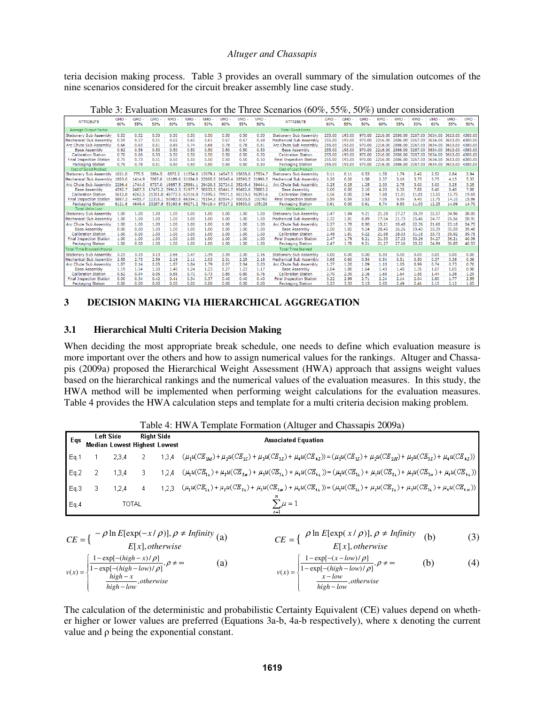teria decision making process. Table 3 provides an overall summary of the simulation outcomes of the nine scenarios considered for the circuit breaker assembly line case study.

| Table 5. Evaluation measures for the Three Scenarios (00%, 33%, 30%)<br>under consideration |             |             |             |                         |                 |                                         |                |                |                |                                 |             |             |             |             |             |             |                 |                                         |                |
|---------------------------------------------------------------------------------------------|-------------|-------------|-------------|-------------------------|-----------------|-----------------------------------------|----------------|----------------|----------------|---------------------------------|-------------|-------------|-------------|-------------|-------------|-------------|-----------------|-----------------------------------------|----------------|
| <b>ATTRIBUTE</b>                                                                            | GMO-<br>60% | GMO-<br>55% | GMO-<br>50% | RMO-<br>60%             | RMO-<br>55%     | <b>RMO</b><br>50%                       | $VMO -$<br>60% | $VMO -$<br>55% | $VMO -$<br>50% | <b>ATTRIBUTE</b>                | GMO-<br>60% | GMO-<br>55% | GMO-<br>50% | RMO-<br>60% | RMO-<br>55% | RMO-<br>50% | $VMO -$<br>60%  | VMO-<br>55%                             | $VMO -$<br>50% |
| <b>Average Output Factor</b>                                                                |             |             |             | <b>Total Good Units</b> |                 |                                         |                |                |                |                                 |             |             |             |             |             |             |                 |                                         |                |
| Stationary Sub Assembly                                                                     | 0.53        | 0.52        | 0.50        | 0.50                    | 0.50            | 0.50                                    | 0.50           | 0.50           | 0.50           | Stationary Sub Assembly         | 255.00      | 193.00      | 970.00      | 2216.00     | 2886.00     | 3267.00     | 3634.00         | 3613.00                                 | 4380.00        |
| Mechanical Sub Assembly                                                                     | 0.59        | 0.57        | 0.51        | 0.62                    | 0.65            | 0.61                                    | 0.67           | 0.67           | 0.68           | <b>Mechanical Sub Assembly</b>  | 255.00      | 193.00      | 970.00      | 2216.00     | 2886.00     | 3267.00     | 3634.00         | 3613.00                                 | 4380.00        |
| Arc Chute Sub Assembly                                                                      | 0.66        | 0.63        | 0.51        | 0.69                    | 0.74            | 0.68                                    | 0.78           | 0.78           | 0.81           | Arc Chute Sub Assembly          | 255.00      | 193.00      | 970.00      | 2216.00     | 2886.00     | 3267.00     | 3634.00 3613.00 |                                         | 4380.00        |
| <b>Base Assembly</b>                                                                        | 0.62        | 0.59        | 0.50        | 0.50                    | 0.50            | 0.50                                    | 0.50           | 0.50           | 0.50           | <b>Base Assembly</b>            | 255.00      | 193.00      | 970.00      | 2216.00     | 2886.00     | 3267.00     | 3634.00         | 3613.00                                 | 4380.00        |
| <b>Calibration Station</b>                                                                  | 0.70        | 0.66        | 0.50        | 0.50                    | 0.50            | 0.50                                    | 0.50           | 0.50           | 0.50           | <b>Calibration Station</b>      | 255.00      | 193.00      | 970.00      | 2216.00     | 2886.00     | 3267.00     | 3634.00         | 3613.00                                 | 4380.00        |
| <b>Final Inspection Station</b>                                                             | 0.75        | 0.73        | 0.51        | 0.50                    | 0.50            | 0.50                                    | 0.50           | 0.50           | 0.50           | <b>Final Inspection Station</b> | 255.00      | 193.00      | 970.00      | 2216.00     | 2886.00     | 3267.00     | 3634.00         | 3613.00                                 | 4380.00        |
| <b>Packaging Station</b>                                                                    | 0.75        | 0.78        | 0.51        | 0.50                    | 0.50            | 0.50                                    | 0.50           | 0.50           | 0.50           | <b>Packaging Station</b>        | 255,00      | 193.00      | 970.00      |             |             |             |                 | 2216.00 2886.00 3267.00 3634.00 3613.00 | 4380.00        |
| <b>Cost of Good Product</b>                                                                 |             |             |             |                         |                 |                                         |                |                |                | <b>Cost of Lost Product</b>     |             |             |             |             |             |             |                 |                                         |                |
| Stationary Sub Assembly                                                                     | 1021.0      | 775.5       | 3884.5      | 8872.2                  |                 | 11554.6 13079.1 14547.5 15658.0 17534.7 |                |                |                | <b>Stationary Sub Assembly</b>  | 0.11        | 0.11        | 0.53        | 1.58        | 1.79        | 2.42        | 2.52            | 2.84                                    | 2.94           |
| Mechanical Sub Assembly                                                                     | 1863.0      | 1414.9      | 7087.6      | 16189.6                 | 21084.0         | 23865.5 26545.4                         |                | 28590.5        | 31996.5        | <b>Mechanical Sub Assembly</b>  | 0.20        | 0.20        | 1.58        | 2.37        | 3.16        | 3.75        | 3.75            | 4.15                                    | 5.33           |
| Arc Chute Sub Assembly                                                                      | 2296.4      | 1744.0      | 8737.0      | 19957.5                 | 25991.1         | 29420.3                                 | 32724.0        | 35245.4        | 39444.1        | Arc Chute Sub Assembly          | 0.25        | 0.25        | 1.25        | 2.00        | 2.75        | 3.00        | 3.00            | 3.25                                    | 3.25           |
| <b>Base Assembly</b>                                                                        | 4592.7      | 2487.5      | 17472.2     | 39912.3                 | 51977.7         | 58833.5                                 | 65441.7        | 90482.6        | 78883.2        | <b>Base Assembly</b>            | 0.00        | 0.00        | 2.10        | 4.20        | 6.30        | 7.88        | 8.40            | 8.40                                    | 7.88           |
| <b>Calibration Station</b>                                                                  | 5612.8      | 4262.5      | 21351.0     | 48773.5                 | 63516.8         | 71895.5 79971.1                         |                | 86129.5        | 96393.6        | <b>Calibration Station</b>      | 0.56        | 0.00        | 3.94        | 7.88        | 11.81       | 11.81       | 13.50           | 15.75                                   | 19.69          |
| <b>Final Inspection Station</b>                                                             | 5867.3      | 4455.7      | 22318.1     |                         | 50983.5 66394.1 | 75154.3 83594.7                         |                | 90030.5        | 100760         | <b>Final Inspection Station</b> | 0.59        | 0.59        | 3.53        | 7.05        | 9.99        | 9.40        | 11.75           | 14.10                                   | 15.86          |
| Packaging Station                                                                           | 6121.8      | 4649.4      | 23287.8     |                         | 53193.6 69271.2 | 78410.4 87217.2                         |                | 93930.0        | 105126         | Packaging Station               | 0.61        | 0.00        | 0.61        | 6.74        | 9.80        | 11.03       | 12.25           | 14.09                                   | 14.70          |
| <b>Total Units Lost</b>                                                                     |             |             |             |                         |                 |                                         |                |                |                | Utilization                     |             |             |             |             |             |             |                 |                                         |                |
| Stationary Sub Assembly                                                                     | 1.00        | 1.00        | 1.00        | 1.00                    | 1.00            | 1.00                                    | 1.00           | 1.00           | 1.00           | <b>Stationary Sub Assembly</b>  | 2.47        | 1.84        | 9.21        | 21.28       | 27.27       | 30.39       | 32.57           | 34.96                                   | 38.85          |
| Mechanical Sub Assembly                                                                     | 1.00        | 1.00        | 1.00        | 1.00                    | 1.00            | 1.00                                    | 1.00           | 1.00           | 1.00           | Mechanical Sub Assembly         | 2.32        | 1.81        | 8.89        | 17.54       | 21.73       | 25.46       | 24.77           | 26.56                                   | 28.91          |
| Arc Chute Sub Assembly                                                                      | 1.00        | 1.00        | 1.00        | 1.00                    | 1.00            | 1.00                                    | 1.00           | 1.00           | 1.00           | Arc Chute Sub Assembly          | 2.27        | 1.78        | 8.80        | 15.21       | 18.48       | 22.36       | 21.68           | 23.18                                   | 24.75          |
| <b>Base Assembly</b>                                                                        | 0.00        | 0.00        | 1.00        | 1.00                    | 1.00            | 1.00                                    | 1.00           | 1.00           | 1.00           | <b>Base Assembly</b>            | 2.50        | 1.82        | 9.24        | 20.45       | 26.26       | 29.43       | 33.39           | 35.59                                   | 39.48          |
| <b>Calibration Station</b>                                                                  | 1.00        | 0.00        | 1.00        | 1.00                    | 1.00            | 1.00                                    | 1.00           | 1.00           | 1.00           | <b>Calibration Station</b>      | 2.48        | 1.81        | 9.22        | 21.98       | 28.03       | 31.18       | 33.73           | 35.92                                   | 39.75          |
| <b>Final Inspection Station</b>                                                             | 1.00        | 1.00        | 1.00        | 1.00                    | 1.00            | 1.00                                    | 1.00           | 1.00           | 1.00           | <b>Final Inspection Station</b> | 2.47        | 1.79        | 9.21        | 21.33       | 27.23       | 30.26       | 34.27           | 36.21                                   | 40.09          |
| <b>Packaging Station</b>                                                                    | 1.00        | 0.00        | 1.00        | 1.00                    | 1.00            | 1.00                                    | 1.00           | 1.00           | 1.00           | <b>Packaging Station</b>        | 2.47        | 1.78        | 9.21        | 21.27       | 27.16       | 30.22       | 34.99           | 36.85                                   | 40.53          |
| <b>Total Time Blocked (Hours)</b>                                                           |             |             |             |                         |                 |                                         |                |                |                | <b>Total Time Starved</b>       |             |             |             |             |             |             |                 |                                         |                |
| <b>Stationary Sub Assembly</b>                                                              | 3.23        | 3.33        | 3.13        | 2.66                    | 2.47            | 2.39                                    | 2.39           | 2.30           | 2.16           | <b>Stationary Sub Assembly</b>  | 0.00        | 0.00        | 0.00        | 0.00        | 0.00        | 0.00        | 0.00            | 0.00                                    | 0.00           |
| Mechanical Sub Assembly                                                                     | 2.55        | 2.73        | 2.59        | 2.19                    | 2.11            | 2.03                                    | 2.31           | 2.25           | 2.18           | <b>Mechanical Sub Assembly</b>  | 0.68        | 0.60        | 0.54        | 0.54        | 0.51        | 0.50        | 0.37            | 0.38                                    | 0.36           |
| Arc Chute Sub Assembly                                                                      | 1.87        | 2.14        | 2.05        | 1.87                    | 1.84            | 1.79                                    | 2.07           | 2.04           | 2.03           | Arc Chute Sub Assembly          | 1.37        | 1.20        | 1.09        | 1.10        | 1.05        | 0.99        | 0.74            | 0.73                                    | 0.70           |
| <b>Base Assembly</b>                                                                        | 1.19        | 1.54        | 1.50        | 1.40                    | 1.24            | 1.23                                    | 1.27           | 1.23           | 1.17           | <b>Base Assembly</b>            | 2.04        | 1.80        | 1.64        | 1.43        | 1.40        | 1.31        | 1.07            | 1.05                                    | 0.98           |
| <b>Calibration Station</b>                                                                  | 0.52        | 0.94        | 0.95        | 0.85                    | 0.72            | 0.73                                    | 0.80           | 0.80           | 0.76           | <b>Calibration Station</b>      | 2.70        | 2.39        | 2.16        | 1.69        | 1.64        | 1.55        | 1.44            | 1.38                                    | 1.29           |
| <b>Final Inspection Station</b>                                                             | 0.00        | 0.34        | 0.42        | 0.41                    | 0.34            | 0.37                                    | 0.40           | 0.40           | 0.40           | <b>Final Inspection Station</b> | 3.22        | 2.99        | 2.71        | 2.24        | 2.14        | 2.04        | 2.80            | 1.77                                    | 2.55           |
| Packaging Station                                                                           | 0.00        | 0.00        | 0.00        | 0.00                    | 0.00            | 0.00                                    | 0.00           | 0.00           | 0.00           | Packaging Station               | 3.23        | 3.33        | 3.13        | 2.65        | 2.49        | 2.41        | 2.15            | 2.12                                    | 1.65           |

Table 3: Evaluation Measures for the Three Scenarios (60%, 55%, 50%) under consideration

#### **3 DECISION MAKING VIA HIERARCHICAL AGGREGATION**

### **3.1 Hierarchical Multi Criteria Decision Making**

When deciding the most appropriate break schedule, one needs to define which evaluation measure is more important over the others and how to assign numerical values for the rankings. Altuger and Chassapis (2009a) proposed the Hierarchical Weight Assessment (HWA) approach that assigns weight values based on the hierarchical rankings and the numerical values of the evaluation measures. In this study, the HWA method will be implemented when performing weight calculations for the evaluation measures. Table 4 provides the HWA calculation steps and template for a multi criteria decision making problem.

|      |           |                   |                                     | I abic +. II WA TCHipiale Porthallon (Altuger and Chassapis 2007a)                                                                                                  |
|------|-----------|-------------------|-------------------------------------|---------------------------------------------------------------------------------------------------------------------------------------------------------------------|
| Egs  | Left Side | <b>Right Side</b> | <b>Median Lowest Highest Lowest</b> | <b>Associated Equation</b>                                                                                                                                          |
| Eq.1 | 2,3,4     |                   | 3.4                                 | $(\mu_1 u (CE_{1M}) + \mu_2 u (CE_{2L}) + \mu_3 u (CE_{3L}) + \mu_4 u (CE_{4L})) = (\mu_1 u (CE_{1L}) + \mu_2 u (CE_{2H}) + \mu_3 u (CE_{3L}) + \mu_4 u (CE_{4L}))$ |
| Eq.2 | I.3.4     |                   | 1.2.4                               | $(\mu_1u(CE_{11})+\mu_2u(CE_{2u})+\mu_3u(CE_{31})+\mu_4u(CE_{41}))=(\mu_1u(CE_{11})+\mu_2u(CE_{21})+\mu_3u(CE_{3u})+\mu_4u(CE_{41}))$                               |
| Eq.3 | 1,2,4     | 4                 | 1.2.3                               | $(\mu_1u(CE_{1_L}) + \mu_2u(CE_{2_L}) + \mu_3u(CE_{3\omega}) + \mu_4u(CE_{4_L})) = (\mu_1u(CE_{1L}) + \mu_2u(CE_{2L}) + \mu_3u(CE_{3L}) + \mu_4u(CE_{4\omega}))$    |
| Eq.4 |           | TOTAL             |                                     | $\mu = 1$                                                                                                                                                           |

Table 4: HWA Template Formation (Altuger and Chassapis 2009a)



The calculation of the deterministic and probabilistic Certainty Equivalent (CE) values depend on whether higher or lower values are preferred (Equations 3a-b, 4a-b respectively), where x denoting the current value and ρ being the exponential constant.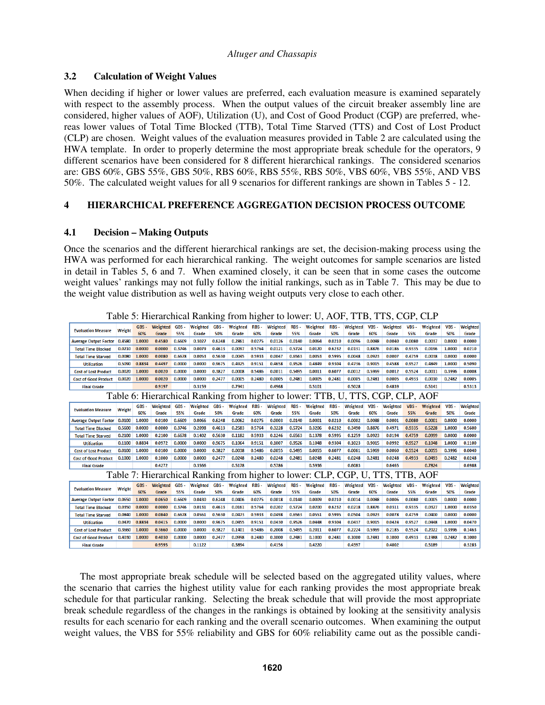# **3.2 Calculation of Weight Values**

When deciding if higher or lower values are preferred, each evaluation measure is examined separately with respect to the assembly process. When the output values of the circuit breaker assembly line are considered, higher values of AOF), Utilization (U), and Cost of Good Product (CGP) are preferred, whereas lower values of Total Time Blocked (TTB), Total Time Starved (TTS) and Cost of Lost Product (CLP) are chosen. Weight values of the evaluation measures provided in Table 2 are calculated using the HWA template. In order to properly determine the most appropriate break schedule for the operators, 9 different scenarios have been considered for 8 different hierarchical rankings. The considered scenarios are: GBS 60%, GBS 55%, GBS 50%, RBS 60%, RBS 55%, RBS 50%, VBS 60%, VBS 55%, AND VBS 50%. The calculated weight values for all 9 scenarios for different rankings are shown in Tables 5 - 12.

# **4 HIERARCHICAL PREFERENCE AGGREGATION DECISION PROCESS OUTCOME**

# **4.1 Decision – Making Outputs**

Once the scenarios and the different hierarchical rankings are set, the decision-making process using the HWA was performed for each hierarchical ranking. The weight outcomes for sample scenarios are listed in detail in Tables 5, 6 and 7. When examined closely, it can be seen that in some cases the outcome weight values' rankings may not fully follow the initial rankings, such as in Table 7. This may be due to the weight value distribution as well as having weight outputs very close to each other.

| <b>Evaluation Measure</b>                                                      | Weight | GBS-       | Weighted | <b>GBS</b> | Weighted | <b>GBS</b> | Weighted | <b>RBS</b> | Weighted | <b>RBS</b> | Weighted                                                                       | <b>RBS</b> | Weighted | <b>VBS</b> | Weighted | <b>VBS</b> | Weighted | <b>VBS</b> | Weighted |
|--------------------------------------------------------------------------------|--------|------------|----------|------------|----------|------------|----------|------------|----------|------------|--------------------------------------------------------------------------------|------------|----------|------------|----------|------------|----------|------------|----------|
|                                                                                |        | 60%        | Grade    | 55%        | Grade    | 50%        | Grade    | 60%        | Grade    | 55%        | Grade                                                                          | 50%        | Grade    | 60%        | Grade    | 55%        | Grade    | 50%        | Grade    |
| Average Output Factor                                                          | 0.4580 | 1.0000     | 0.4580   | 0.6609     | 0.3027   | 0.6248     | 0.2861   | 0.0275     | 0.0126   | 0.0140     | 0.0064                                                                         | 0.0210     | 0.0096   | 0.0088     | 0.0040   | 0.0080     | 0.0037   | 0.0000     | 0.0000   |
| <b>Total Time Blocked</b>                                                      | 0.0210 | 0.0000     | 0.0000   | 0.3746     | 0.0079   | 0.4613     | 0.0097   | 0.5764     | 0.0121   | 0.5724     | 0.0120                                                                         | 0.6232     | 0.0131   | 0.8876     | 0.0186   | 0.9335     | 0.0196   | 1.0000     | 0.0210   |
| <b>Total Time Starved</b>                                                      | 0.0080 | 1.0000     | 0.0080   | 0.6678     | 0.0053   | 0.5630     | 0.0045   | 0.5933     | 0.0047   | 0.6563     | 0.0053                                                                         | 0.5995     | 0.0048   | 0.0923     | 0.0007   | 0.4759     | 0.0038   | 0.0000     | 0.0000   |
| <b>Utilization</b>                                                             | 0.5090 | 0.8834     | 0.4497   | 0.0000     | 0.0000   | 0.9675     | 0.4925   | 0.9151     | 0.4658   | 0.9526     | 0.4849                                                                         | 0.9304     | 0.4736   | 0.9015     | 0.4588   | 0.9527     | 0.4849   | 1.0000     | 0.5090   |
| <b>Cost of Lost Product</b>                                                    | 0.0020 | 1.0000     | 0.0020   | 0.0000     | 0.0000   | 0.3827     | 0.0008   | 0.5486     | 0.0011   | 0.5495     | 0.0011                                                                         | 0.6077     | 0.0012   | 0.5969     | 0.0012   | 0.5524     | 0.0011   | 0.3996     | 0.0008   |
| <b>Cost of Good Product</b>                                                    | 0.0020 | 1.0000     | 0.0020   | 0.0000     | 0.0000   | 0.2477     | 0.0005   | 0.2480     | 0.0005   | 0.2481     | 0.0005                                                                         | 0.2481     | 0.0005   | 0.2481     | 0.0005   | 0.4933     | 0.0010   | 0.2482     | 0.0005   |
| <b>Final Grade</b>                                                             |        |            | 0.9197   |            | 0.3159   |            | 0.7941   |            | 0.4968   |            | 0.5101                                                                         |            | 0.5028   |            | 0.4839   |            | 0.5141   |            | 0.5313   |
| Table 6: Hierarchical Ranking from higher to lower: TTB, U, TTS, CGP, CLP, AOF |        |            |          |            |          |            |          |            |          |            |                                                                                |            |          |            |          |            |          |            |          |
|                                                                                |        | <b>GBS</b> | Weighted | <b>GBS</b> | Weighted | <b>GBS</b> | Weighted | <b>RBS</b> | Weighted | <b>RBS</b> | Weighted                                                                       | <b>RBS</b> | Weighted | <b>VBS</b> | Weighted | <b>VBS</b> | Weighted | <b>VBS</b> | Weighted |
| <b>Evaluation Measure</b>                                                      | Weight | 60%        | Grade    | 55%        | Grade    | 50%        | Grade    | 60%        | Grade    | 55%        | Grade                                                                          | 50%        | Grade    | 60%        | Grade    | 55%        | Grade    | 50%        | Grade    |
| Average Output Factor                                                          | 0.0100 | 1.0000     | 0.0100   | 0.6609     | 0.0066   | 0.6248     | 0.0062   | 0.0275     | 0.0003   | 0.0140     | 0.0001                                                                         | 0.0210     | 0.0002   | 0.0088     | 0.0001   | 0.0080     | 0.0001   | 0.0000     | 0.0000   |
| <b>Total Time Blocked</b>                                                      | 0.5600 | 0.0000     | 0.0000   | 0.3746     | 0.2098   | 0.4613     | 0.2583   | 0.5764     | 0.3228   | 0.5724     | 0.3206                                                                         | 0.6232     | 0.3490   | 0.8876     | 0.4971   | 0.9335     | 0.5228   | 1.0000     | 0.5600   |
| <b>Total Time Starved</b>                                                      | 0.2100 | 1.0000     | 0.2100   | 0.6678     | 0.1402   | 0.5630     | 0.1182   | 0.5933     | 0.1246   | 0.6563     | 0.1378                                                                         | 0.5995     | 0.1259   | 0.0923     | 0.0194   | 0.4759     | 0.0999   | 0.0000     | 0.0000   |
| <b>Utilization</b>                                                             | 0.1100 | 0.8834     | 0.0972   | 0.0000     | 0.0000   | 0.9675     | 0.1064   | 0.9151     | 0.1007   | 0.9526     | 0.1048                                                                         | 0.9304     | 0.1023   | 0.9015     | 0.0992   | 0.9527     | 0.1048   | 1.0000     | 0.1100   |
| <b>Cost of Lost Product</b>                                                    | 0.0100 | 1.0000     | 0.0100   | 0.0000     | 0.0000   | 0.3827     | 0.0038   | 0.5486     | 0.0055   | 0.5495     | 0.0055                                                                         | 0.6077     | 0.0061   | 0.5969     | 0.0060   | 0.5524     | 0.0055   | 0.3996     | 0.0040   |
| <b>Cost of Good Product</b>                                                    | 0.1000 | 1,0000     | 0.1000   | 0.0000     | 0.0000   | 0.2477     | 0.0248   | 0.2480     | 0.0248   | 0.2481     | 0.0248                                                                         | 0.2481     | 0.0248   | 0.2481     | 0.0248   | 0.4933     | 0.0493   | 0.2482     | 0.0248   |
| <b>Final Grade</b>                                                             |        |            | 0.4272   |            | 0.3566   |            | 0.5178   |            | 0.5786   |            | 0.5936                                                                         |            | 0.6083   |            | 0.6465   |            | 0.7824   |            | 0.6988   |
|                                                                                |        |            |          |            |          |            |          |            |          |            | Table 7: Hierarchical Ranking from higher to lower: CLP, CGP, U, TTS, TTB, AOF |            |          |            |          |            |          |            |          |
|                                                                                | Weight | GBS-       | Weighted | <b>GBS</b> | Weighted | <b>GBS</b> | Weighted | <b>RBS</b> | Weighted | <b>RBS</b> | Weighted                                                                       | <b>RBS</b> | Weighted | <b>VBS</b> | Weighted | <b>VBS</b> | Weighted | <b>VBS</b> | Weighted |
| <b>Evaluation Measure</b>                                                      |        | 60%        | Grade    | 55%        | Grade    | 50%        | Grade    | 60%        | Grade    | 55%        | Grade                                                                          | 50%        | Grade    | 60%        | Grade    | 55%        | Grade    | 50%        | Grade    |
| <b>Average Output Factor</b>                                                   | 0.0650 | 1.0000     | 0.0650   | 0.6609     | 0.0430   | 0.6248     | 0.0406   | 0.0275     | 0.0018   | 0.0140     | 0.0009                                                                         | 0.0210     | 0.0014   | 0.0088     | 0.0006   | 0.0080     | 0.0005   | 0.0000     | 0.0000   |
| <b>Total Time Blocked</b>                                                      | 0.0350 | 0.0000     | 0.0000   | 0.3746     | 0.0131   | 0.4613     | 0.0161   | 0.5764     | 0.0202   | 0.5724     | 0.0200                                                                         | 0.6232     | 0.0218   | 0.8876     | 0.0311   | 0.9335     | 0.0327   | 1.0000     | 0.0350   |
| <b>Total Time Starved</b>                                                      | 0.0840 | 1.0000     | 0.0840   | 0.6678     | 0.0561   | 0.5630     | 0.0473   | 0.5933     | 0.0498   | 0.6563     | 0.0551                                                                         | 0.5995     | 0.0504   | 0.0923     | 0.0078   | 0.4759     | 0.0400   | 0.0000     | 0.0000   |
| <b>Utilization</b>                                                             | 0.0470 | 0.8834     | 0.0415   | 0.0000     | 0.0000   | 0.9675     | 0.0455   | 0.9151     | 0.0430   | 0.9526     | 0.0448                                                                         | 0.9304     | 0.0437   | 0.9015     | 0.0424   | 0.9527     | 0.0448   | 1.0000     | 0.0470   |
| <b>Cost of Lost Product</b>                                                    | 0.3660 | 1.0000     | 0.3660   | 0.0000     | 0.0000   | 0.3827     | 0.1401   | 0.5486     | 0.2008   | 0.5495     | 0.2011                                                                         | 0.6077     | 0.2224   | 0.5969     | 0.2185   | 0.5524     | 0.2022   | 0.3996     | 0.1463   |
| <b>Cost of Good Product</b>                                                    | 0.4030 | 1.0000     | 0.4030   | 0.0000     | 0.0000   | 0.2477     | 0.0998   | 0.2480     | 0.1000   | 0.2481     | 0.1000                                                                         | 0.2481     | 0.1000   | 0.2481     | 0.1000   | 0.4933     | 0.1988   | 0.2482     | 0.1000   |
| <b>Final Grade</b>                                                             |        |            | 0.9595   |            | 0.1122   |            | 0.3894   |            | 0.4156   |            | 0.4220                                                                         |            | 0.4397   |            | 0.4002   |            | 0.5189   |            | 0.3283   |

Table 5: Hierarchical Ranking from higher to lower: U, AOF, TTB, TTS, CGP, CLP

 The most appropriate break schedule will be selected based on the aggregated utility values, where the scenario that carries the highest utility value for each ranking provides the most appropriate break schedule for that particular ranking. Selecting the break schedule that will provide the most appropriate break schedule regardless of the changes in the rankings is obtained by looking at the sensitivity analysis results for each scenario for each ranking and the overall scenario outcomes. When examining the output weight values, the VBS for 55% reliability and GBS for 60% reliability came out as the possible candi-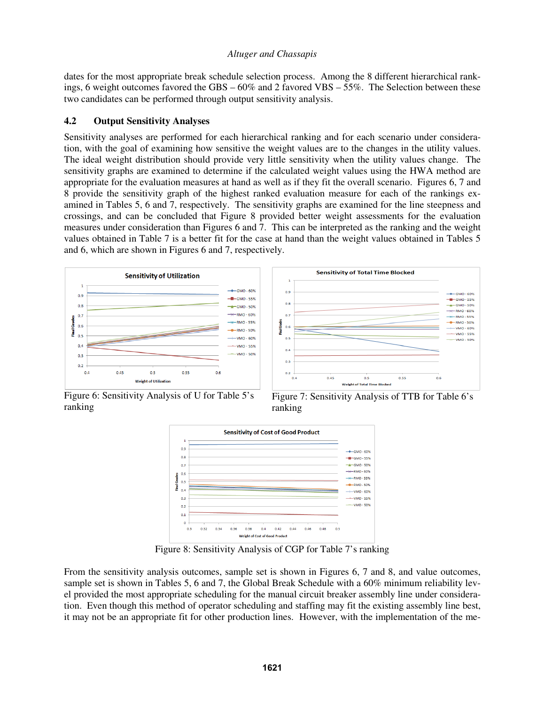dates for the most appropriate break schedule selection process. Among the 8 different hierarchical rankings, 6 weight outcomes favored the GBS – 60% and 2 favored VBS – 55%. The Selection between these two candidates can be performed through output sensitivity analysis.

## **4.2 Output Sensitivity Analyses**

Sensitivity analyses are performed for each hierarchical ranking and for each scenario under consideration, with the goal of examining how sensitive the weight values are to the changes in the utility values. The ideal weight distribution should provide very little sensitivity when the utility values change. The sensitivity graphs are examined to determine if the calculated weight values using the HWA method are appropriate for the evaluation measures at hand as well as if they fit the overall scenario. Figures 6, 7 and 8 provide the sensitivity graph of the highest ranked evaluation measure for each of the rankings examined in Tables 5, 6 and 7, respectively. The sensitivity graphs are examined for the line steepness and crossings, and can be concluded that Figure 8 provided better weight assessments for the evaluation measures under consideration than Figures 6 and 7. This can be interpreted as the ranking and the weight values obtained in Table 7 is a better fit for the case at hand than the weight values obtained in Tables 5 and 6, which are shown in Figures 6 and 7, respectively.





Figure 6: Sensitivity Analysis of U for Table 5's ranking





Figure 8: Sensitivity Analysis of CGP for Table 7's ranking

From the sensitivity analysis outcomes, sample set is shown in Figures 6, 7 and 8, and value outcomes, sample set is shown in Tables 5, 6 and 7, the Global Break Schedule with a 60% minimum reliability level provided the most appropriate scheduling for the manual circuit breaker assembly line under consideration. Even though this method of operator scheduling and staffing may fit the existing assembly line best, it may not be an appropriate fit for other production lines. However, with the implementation of the me-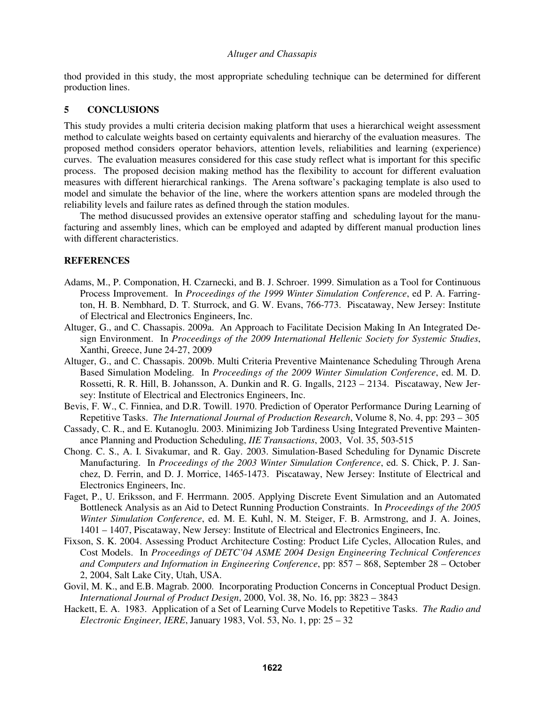thod provided in this study, the most appropriate scheduling technique can be determined for different production lines.

# **5 CONCLUSIONS**

This study provides a multi criteria decision making platform that uses a hierarchical weight assessment method to calculate weights based on certainty equivalents and hierarchy of the evaluation measures. The proposed method considers operator behaviors, attention levels, reliabilities and learning (experience) curves. The evaluation measures considered for this case study reflect what is important for this specific process. The proposed decision making method has the flexibility to account for different evaluation measures with different hierarchical rankings. The Arena software's packaging template is also used to model and simulate the behavior of the line, where the workers attention spans are modeled through the reliability levels and failure rates as defined through the station modules.

 The method disucussed provides an extensive operator staffing and scheduling layout for the manufacturing and assembly lines, which can be employed and adapted by different manual production lines with different characteristics.

# **REFERENCES**

- Adams, M., P. Componation, H. Czarnecki, and B. J. Schroer. 1999. Simulation as a Tool for Continuous Process Improvement. In *Proceedings of the 1999 Winter Simulation Conference*, ed P. A. Farrington, H. B. Nembhard, D. T. Sturrock, and G. W. Evans, 766-773. Piscataway, New Jersey: Institute of Electrical and Electronics Engineers, Inc.
- Altuger, G., and C. Chassapis. 2009a. An Approach to Facilitate Decision Making In An Integrated Design Environment. In *Proceedings of the 2009 International Hellenic Society for Systemic Studies*, Xanthi, Greece, June 24-27, 2009
- Altuger, G., and C. Chassapis. 2009b. Multi Criteria Preventive Maintenance Scheduling Through Arena Based Simulation Modeling. In *Proceedings of the 2009 Winter Simulation Conference*, ed. M. D. Rossetti, R. R. Hill, B. Johansson, A. Dunkin and R. G. Ingalls, 2123 – 2134. Piscataway, New Jersey: Institute of Electrical and Electronics Engineers, Inc.
- Bevis, F. W., C. Finniea, and D.R. Towill. 1970. Prediction of Operator Performance During Learning of Repetitive Tasks. *The International Journal of Production Research*, Volume 8, No. 4, pp: 293 – 305
- Cassady, C. R., and E. Kutanoglu. 2003. Minimizing Job Tardiness Using Integrated Preventive Maintenance Planning and Production Scheduling, *IIE Transactions*, 2003, Vol. 35, 503-515
- Chong. C. S., A. I. Sivakumar, and R. Gay. 2003. Simulation-Based Scheduling for Dynamic Discrete Manufacturing. In *Proceedings of the 2003 Winter Simulation Conference*, ed. S. Chick, P. J. Sanchez, D. Ferrin, and D. J. Morrice, 1465-1473. Piscataway, New Jersey: Institute of Electrical and Electronics Engineers, Inc.
- Faget, P., U. Eriksson, and F. Herrmann. 2005. Applying Discrete Event Simulation and an Automated Bottleneck Analysis as an Aid to Detect Running Production Constraints. In *Proceedings of the 2005 Winter Simulation Conference*, ed. M. E. Kuhl, N. M. Steiger, F. B. Armstrong, and J. A. Joines, 1401 – 1407, Piscataway, New Jersey: Institute of Electrical and Electronics Engineers, Inc.
- Fixson, S. K. 2004. Assessing Product Architecture Costing: Product Life Cycles, Allocation Rules, and Cost Models. In *Proceedings of DETC'04 ASME 2004 Design Engineering Technical Conferences and Computers and Information in Engineering Conference*, pp: 857 – 868, September 28 – October 2, 2004, Salt Lake City, Utah, USA.
- Govil, M. K., and E.B. Magrab. 2000. Incorporating Production Concerns in Conceptual Product Design. *International Journal of Product Design*, 2000, Vol. 38, No. 16, pp: 3823 – 3843
- Hackett, E. A. 1983. Application of a Set of Learning Curve Models to Repetitive Tasks. *The Radio and Electronic Engineer, IERE*, January 1983, Vol. 53, No. 1, pp: 25 – 32